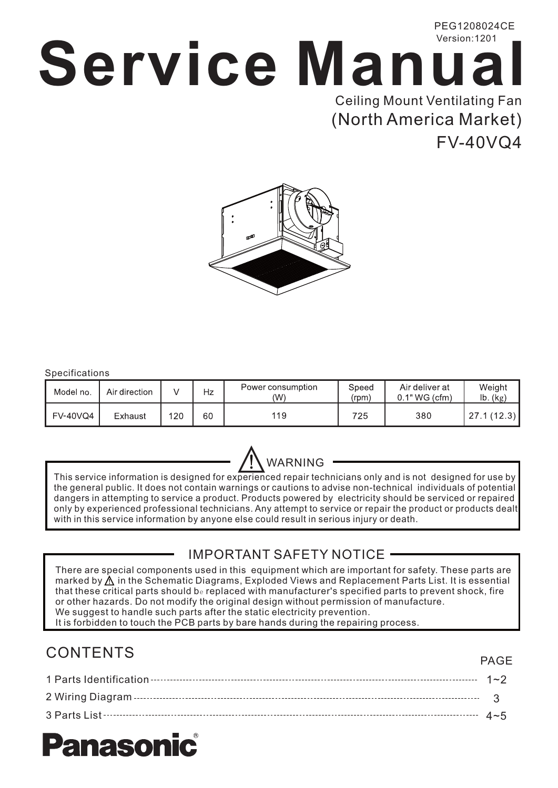## **Service Manual** PEG1208024CE Version:1201 Ceiling Mount Ventilating Fan (North America Market)

#### Specifications

| Model no.       | Air direction |     | Hz | Power consumption<br>(W) | Speed<br>(rpm) | Air deliver at<br>$0.1"$ WG (cfm) | Weight<br>lb. (kg) |
|-----------------|---------------|-----|----|--------------------------|----------------|-----------------------------------|--------------------|
| <b>FV-40VQ4</b> | Exhaust       | 120 | 60 | 119                      | 725            | 380                               | 27.1(12.3)         |



This service information is designed for experienced repair technicians only and is not designed for use by the general public. It does not contain warnings or cautions to advise non-technical individuals of potential dangers in attempting to service a product. Products powered by electricity should be serviced or repaired only by experienced professional technicians. Any attempt to service or repair the product or products dealt with in this service information by anyone else could result in serious injury or death.

#### IMPORTANT SAFETY NOTICE

There are special components used in this equipment which are important for safety. These parts are marked by  $\Lambda$  in the Schematic Diagrams, Exploded Views and Replacement Parts List. It is essential that these critical parts should b $_{\rm e}$  replaced with manufacturer's specified parts to prevent shock, fire or other hazards. Do not modify the original design without permission of manufacture. We suggest to handle such parts after the static electricity prevention. It is forbidden to touch the PCB parts by bare hands during the repairing process.

## CONTENTS

PAGE

FV-40VQ4

| $1 - 2$      |
|--------------|
|              |
| $\Delta$ ~ 5 |

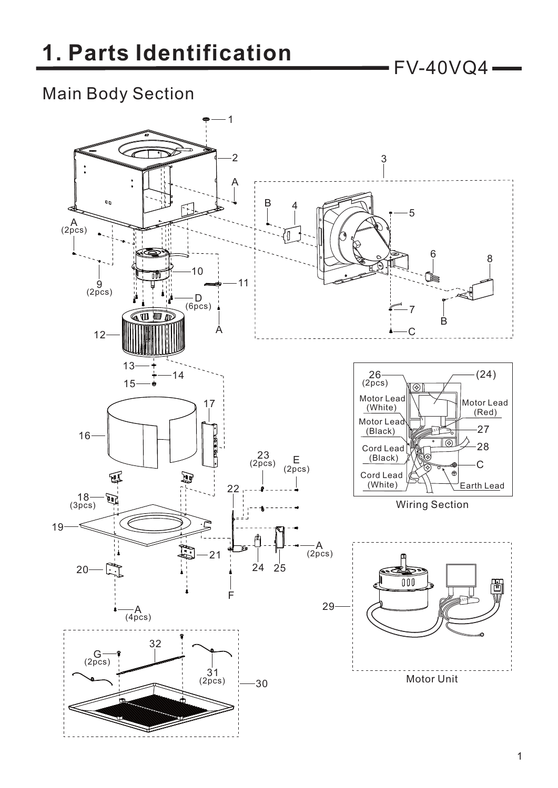## Main Body Section

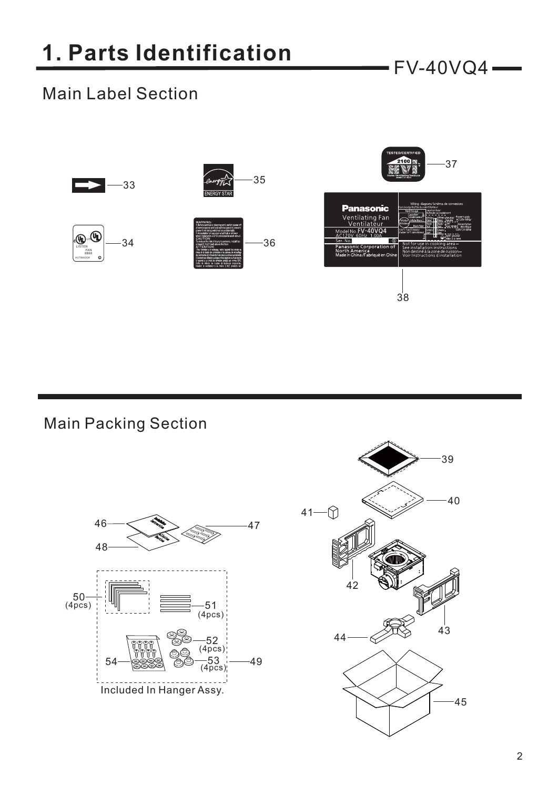## Main Label Section



Main Packing Section



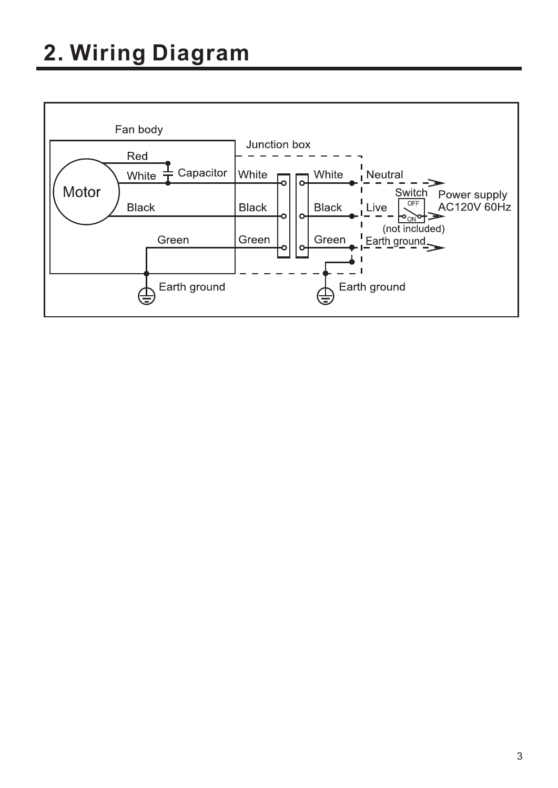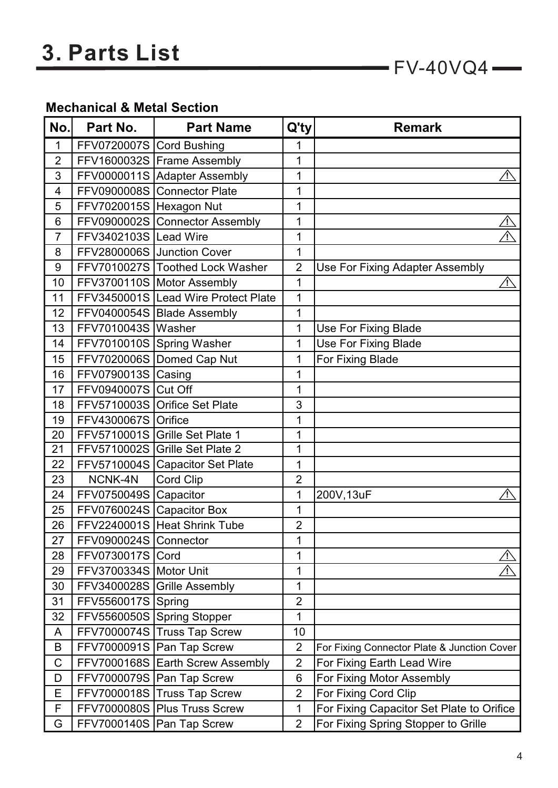#### **Mechanical & Metal Section**

| No.            | Part No.                   | <b>Part Name</b>                    | $Q'$ ty        | <b>Remark</b>                               |
|----------------|----------------------------|-------------------------------------|----------------|---------------------------------------------|
| 1              | FFV0720007S Cord Bushing   |                                     | 1              |                                             |
| $\overline{2}$ |                            | FFV1600032S Frame Assembly          | 1              |                                             |
| 3              |                            | FFV0000011S Adapter Assembly        | 1              |                                             |
| 4              |                            | FFV0900008S Connector Plate         | 1              |                                             |
| 5              | FFV7020015S                | <b>Hexagon Nut</b>                  | 1              |                                             |
| 6              |                            | FFV0900002S Connector Assembly      | 1              | <u>/j\</u>                                  |
| $\overline{7}$ | FFV3402103S Lead Wire      |                                     | 1              |                                             |
| 8              |                            | FFV2800006S Junction Cover          | 1              |                                             |
| 9              |                            | FFV7010027S Toothed Lock Washer     | $\overline{2}$ | Use For Fixing Adapter Assembly             |
| 10             |                            | FFV3700110S Motor Assembly          | 1              | $\sqrt{N}$                                  |
| 11             |                            | FFV3450001S Lead Wire Protect Plate | 1              |                                             |
| 12             |                            | FFV0400054S Blade Assembly          | 1              |                                             |
| 13             | FFV7010043S Washer         |                                     | 1              | Use For Fixing Blade                        |
| 14             |                            | FFV7010010S Spring Washer           | 1              | <b>Use For Fixing Blade</b>                 |
| 15             |                            | FFV7020006S Domed Cap Nut           | 1              | For Fixing Blade                            |
| 16             | FFV0790013S                | Casing                              | 1              |                                             |
| 17             | <b>FFV0940007S Cut Off</b> |                                     | 1              |                                             |
| 18             | FFV5710003S                | <b>Orifice Set Plate</b>            | 3              |                                             |
| 19             | FFV4300067S                | Orifice                             | 1              |                                             |
| 20             |                            | FFV5710001S Grille Set Plate 1      | 1              |                                             |
| 21             |                            | FFV5710002S Grille Set Plate 2      | 1              |                                             |
| 22             | FFV5710004S                | <b>Capacitor Set Plate</b>          | 1              |                                             |
| 23             | NCNK-4N                    | Cord Clip                           | $\overline{2}$ |                                             |
| 24             | FFV0750049S                | Capacitor                           | 1              | 200V, 13uF<br>Æ                             |
| 25             | FFV0760024S                | <b>Capacitor Box</b>                | 1              |                                             |
| 26             |                            | FFV2240001S Heat Shrink Tube        | $\overline{2}$ |                                             |
| 27             | FFV0900024S Connector      |                                     | 1              |                                             |
| 28             | FFV0730017S Cord           |                                     | 1              | 47                                          |
| 29             | FFV3700334S Motor Unit     |                                     | 1              | 个                                           |
| 30             |                            | FFV3400028S Grille Assembly         | 1              |                                             |
| 31             | FFV5560017S Spring         |                                     | $\overline{2}$ |                                             |
| 32             |                            | FFV5560050S Spring Stopper          | 1              |                                             |
| A              |                            | FFV7000074S Truss Tap Screw         | 10             |                                             |
| B              |                            | FFV7000091S Pan Tap Screw           | $\overline{2}$ | For Fixing Connector Plate & Junction Cover |
| C              |                            | FFV7000168S Earth Screw Assembly    | $\overline{2}$ | For Fixing Earth Lead Wire                  |
| D              |                            | FFV7000079S Pan Tap Screw           | 6              | For Fixing Motor Assembly                   |
| Ε              |                            | FFV7000018S Truss Tap Screw         | $\overline{2}$ | For Fixing Cord Clip                        |
| F              |                            | FFV7000080S Plus Truss Screw        | 1              | For Fixing Capacitor Set Plate to Orifice   |
| G              |                            | FFV7000140S   Pan Tap Screw         | $\overline{2}$ | For Fixing Spring Stopper to Grille         |